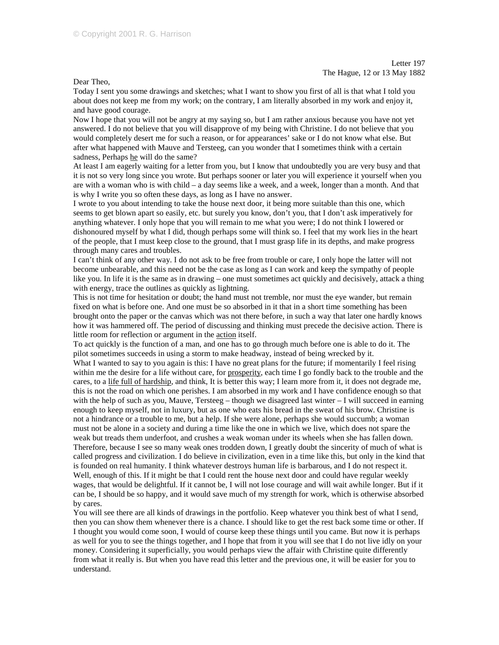Dear Theo,

Today I sent you some drawings and sketches; what I want to show you first of all is that what I told you about does not keep me from my work; on the contrary, I am literally absorbed in my work and enjoy it, and have good courage.

Now I hope that you will not be angry at my saying so, but I am rather anxious because you have not yet answered. I do not believe that you will disapprove of my being with Christine. I do not believe that you would completely desert me for such a reason, or for appearances' sake or I do not know what else. But after what happened with Mauve and Tersteeg, can you wonder that I sometimes think with a certain sadness, Perhaps he will do the same?

At least I am eagerly waiting for a letter from you, but I know that undoubtedly you are very busy and that it is not so very long since you wrote. But perhaps sooner or later you will experience it yourself when you are with a woman who is with child – a day seems like a week, and a week, longer than a month. And that is why I write you so often these days, as long as I have no answer.

I wrote to you about intending to take the house next door, it being more suitable than this one, which seems to get blown apart so easily, etc. but surely you know, don't you, that I don't ask imperatively for anything whatever. I only hope that you will remain to me what you were; I do not think I lowered or dishonoured myself by what I did, though perhaps some will think so. I feel that my work lies in the heart of the people, that I must keep close to the ground, that I must grasp life in its depths, and make progress through many cares and troubles.

I can't think of any other way. I do not ask to be free from trouble or care, I only hope the latter will not become unbearable, and this need not be the case as long as I can work and keep the sympathy of people like you. In life it is the same as in drawing – one must sometimes act quickly and decisively, attack a thing with energy, trace the outlines as quickly as lightning.

This is not time for hesitation or doubt; the hand must not tremble, nor must the eye wander, but remain fixed on what is before one. And one must be so absorbed in it that in a short time something has been brought onto the paper or the canvas which was not there before, in such a way that later one hardly knows how it was hammered off. The period of discussing and thinking must precede the decisive action. There is little room for reflection or argument in the action itself.

To act quickly is the function of a man, and one has to go through much before one is able to do it. The pilot sometimes succeeds in using a storm to make headway, instead of being wrecked by it.

What I wanted to say to you again is this: I have no great plans for the future; if momentarily I feel rising within me the desire for a life without care, for prosperity, each time I go fondly back to the trouble and the cares, to a life full of hardship, and think, It is better this way; I learn more from it, it does not degrade me, this is not the road on which one perishes. I am absorbed in my work and I have confidence enough so that with the help of such as you, Mauve, Tersteeg – though we disagreed last winter – I will succeed in earning enough to keep myself, not in luxury, but as one who eats his bread in the sweat of his brow. Christine is not a hindrance or a trouble to me, but a help. If she were alone, perhaps she would succumb; a woman must not be alone in a society and during a time like the one in which we live, which does not spare the weak but treads them underfoot, and crushes a weak woman under its wheels when she has fallen down. Therefore, because I see so many weak ones trodden down, I greatly doubt the sincerity of much of what is called progress and civilization. I do believe in civilization, even in a time like this, but only in the kind that is founded on real humanity. I think whatever destroys human life is barbarous, and I do not respect it. Well, enough of this. If it might be that I could rent the house next door and could have regular weekly wages, that would be delightful. If it cannot be, I will not lose courage and will wait awhile longer. But if it can be, I should be so happy, and it would save much of my strength for work, which is otherwise absorbed by cares.

You will see there are all kinds of drawings in the portfolio. Keep whatever you think best of what I send, then you can show them whenever there is a chance. I should like to get the rest back some time or other. If I thought you would come soon, I would of course keep these things until you came. But now it is perhaps as well for you to see the things together, and I hope that from it you will see that I do not live idly on your money. Considering it superficially, you would perhaps view the affair with Christine quite differently from what it really is. But when you have read this letter and the previous one, it will be easier for you to understand.